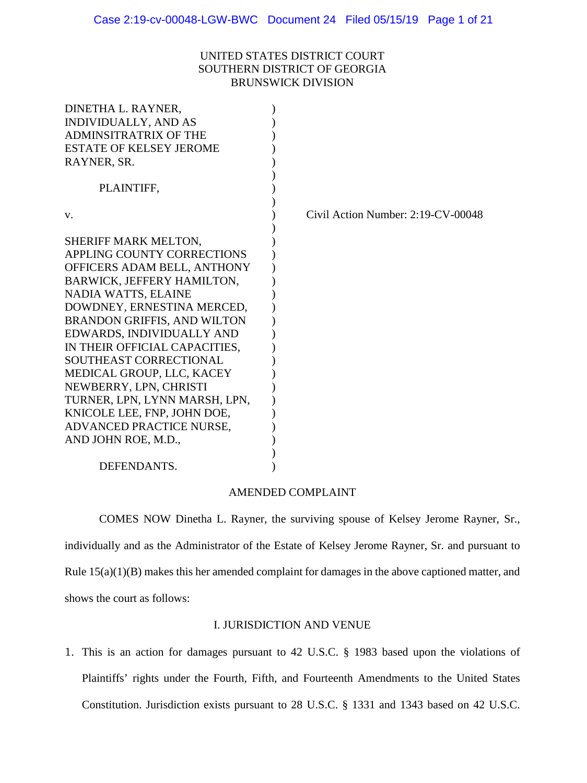# UNITED STATES DISTRICT COURT SOUTHERN DISTRICT OF GEORGIA BRUNSWICK DIVISION

| Civil Action Number: 2:19-CV-00048 |
|------------------------------------|
|                                    |
|                                    |
|                                    |
|                                    |
|                                    |
|                                    |
|                                    |
|                                    |
|                                    |
|                                    |
|                                    |
|                                    |
|                                    |
|                                    |
|                                    |
|                                    |
|                                    |
|                                    |
|                                    |
|                                    |

#### AMENDED COMPLAINT

COMES NOW Dinetha L. Rayner, the surviving spouse of Kelsey Jerome Rayner, Sr., individually and as the Administrator of the Estate of Kelsey Jerome Rayner, Sr. and pursuant to Rule 15(a)(1)(B) makes this her amended complaint for damages in the above captioned matter, and shows the court as follows:

# I. JURISDICTION AND VENUE

1. This is an action for damages pursuant to 42 U.S.C. § 1983 based upon the violations of Plaintiffs' rights under the Fourth, Fifth, and Fourteenth Amendments to the United States Constitution. Jurisdiction exists pursuant to 28 U.S.C. § 1331 and 1343 based on 42 U.S.C.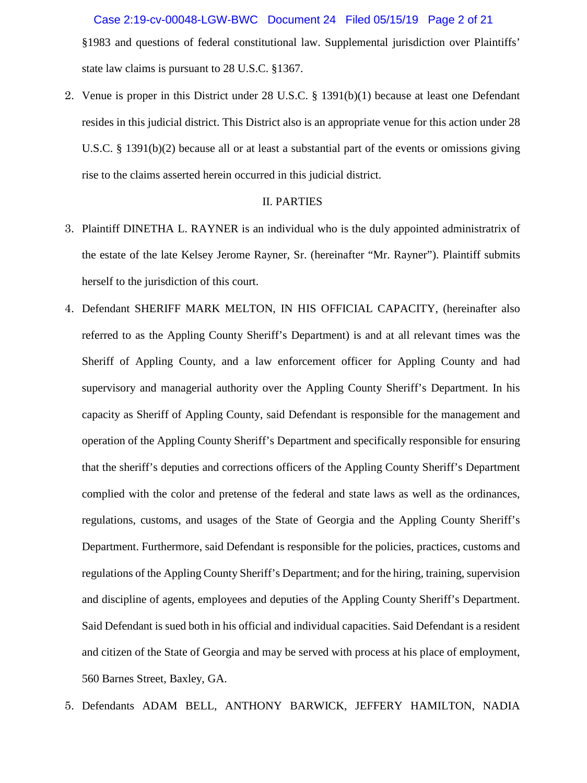§1983 and questions of federal constitutional law. Supplemental jurisdiction over Plaintiffs' state law claims is pursuant to 28 U.S.C. §1367. Case 2:19-cv-00048-LGW-BWC Document 24 Filed 05/15/19 Page 2 of 21

2. Venue is proper in this District under 28 U.S.C. § 1391(b)(1) because at least one Defendant resides in this judicial district. This District also is an appropriate venue for this action under 28 U.S.C. § 1391(b)(2) because all or at least a substantial part of the events or omissions giving rise to the claims asserted herein occurred in this judicial district.

#### II. PARTIES

- 3. Plaintiff DINETHA L. RAYNER is an individual who is the duly appointed administratrix of the estate of the late Kelsey Jerome Rayner, Sr. (hereinafter "Mr. Rayner"). Plaintiff submits herself to the jurisdiction of this court.
- 4. Defendant SHERIFF MARK MELTON, IN HIS OFFICIAL CAPACITY, (hereinafter also referred to as the Appling County Sheriff's Department) is and at all relevant times was the Sheriff of Appling County, and a law enforcement officer for Appling County and had supervisory and managerial authority over the Appling County Sheriff's Department. In his capacity as Sheriff of Appling County, said Defendant is responsible for the management and operation of the Appling County Sheriff's Department and specifically responsible for ensuring that the sheriff's deputies and corrections officers of the Appling County Sheriff's Department complied with the color and pretense of the federal and state laws as well as the ordinances, regulations, customs, and usages of the State of Georgia and the Appling County Sheriff's Department. Furthermore, said Defendant is responsible for the policies, practices, customs and regulations of the Appling County Sheriff's Department; and for the hiring, training, supervision and discipline of agents, employees and deputies of the Appling County Sheriff's Department. Said Defendant is sued both in his official and individual capacities. Said Defendant is a resident and citizen of the State of Georgia and may be served with process at his place of employment, 560 Barnes Street, Baxley, GA.
- 5. Defendants ADAM BELL, ANTHONY BARWICK, JEFFERY HAMILTON, NADIA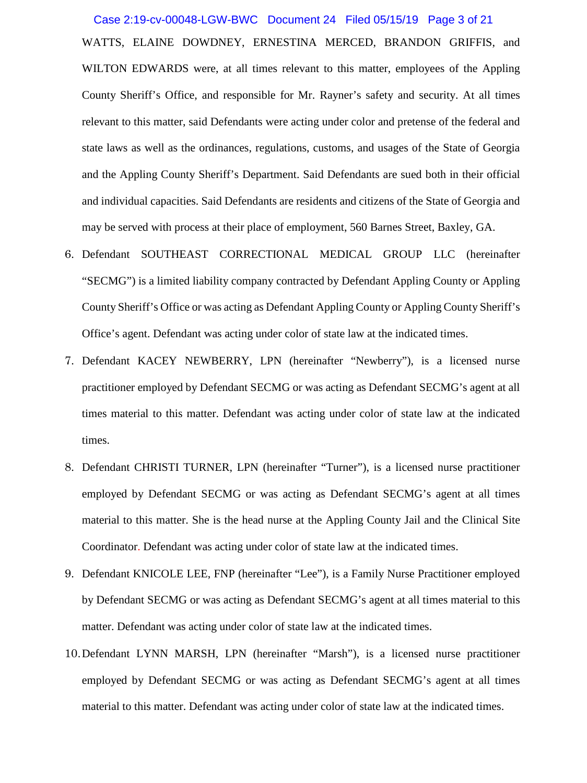Case 2:19-cv-00048-LGW-BWC Document 24 Filed 05/15/19 Page 3 of 21

WATTS, ELAINE DOWDNEY, ERNESTINA MERCED, BRANDON GRIFFIS, and WILTON EDWARDS were, at all times relevant to this matter, employees of the Appling County Sheriff's Office, and responsible for Mr. Rayner's safety and security. At all times relevant to this matter, said Defendants were acting under color and pretense of the federal and state laws as well as the ordinances, regulations, customs, and usages of the State of Georgia and the Appling County Sheriff's Department. Said Defendants are sued both in their official and individual capacities. Said Defendants are residents and citizens of the State of Georgia and may be served with process at their place of employment, 560 Barnes Street, Baxley, GA.

- 6. Defendant SOUTHEAST CORRECTIONAL MEDICAL GROUP LLC (hereinafter "SECMG") is a limited liability company contracted by Defendant Appling County or Appling County Sheriff's Office or was acting as Defendant Appling County or Appling County Sheriff's Office's agent. Defendant was acting under color of state law at the indicated times.
- 7. Defendant KACEY NEWBERRY, LPN (hereinafter "Newberry"), is a licensed nurse practitioner employed by Defendant SECMG or was acting as Defendant SECMG's agent at all times material to this matter. Defendant was acting under color of state law at the indicated times.
- 8. Defendant CHRISTI TURNER, LPN (hereinafter "Turner"), is a licensed nurse practitioner employed by Defendant SECMG or was acting as Defendant SECMG's agent at all times material to this matter. She is the head nurse at the Appling County Jail and the Clinical Site Coordinator. Defendant was acting under color of state law at the indicated times.
- 9. Defendant KNICOLE LEE, FNP (hereinafter "Lee"), is a Family Nurse Practitioner employed by Defendant SECMG or was acting as Defendant SECMG's agent at all times material to this matter. Defendant was acting under color of state law at the indicated times.
- 10.Defendant LYNN MARSH, LPN (hereinafter "Marsh"), is a licensed nurse practitioner employed by Defendant SECMG or was acting as Defendant SECMG's agent at all times material to this matter. Defendant was acting under color of state law at the indicated times.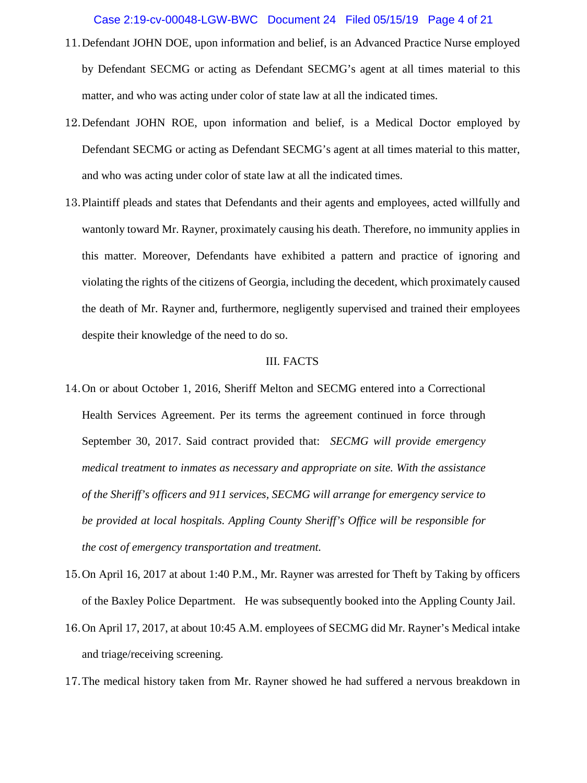## Case 2:19-cv-00048-LGW-BWC Document 24 Filed 05/15/19 Page 4 of 21

- 11.Defendant JOHN DOE, upon information and belief, is an Advanced Practice Nurse employed by Defendant SECMG or acting as Defendant SECMG's agent at all times material to this matter, and who was acting under color of state law at all the indicated times.
- 12.Defendant JOHN ROE, upon information and belief, is a Medical Doctor employed by Defendant SECMG or acting as Defendant SECMG's agent at all times material to this matter, and who was acting under color of state law at all the indicated times.
- 13.Plaintiff pleads and states that Defendants and their agents and employees, acted willfully and wantonly toward Mr. Rayner, proximately causing his death. Therefore, no immunity applies in this matter. Moreover, Defendants have exhibited a pattern and practice of ignoring and violating the rights of the citizens of Georgia, including the decedent, which proximately caused the death of Mr. Rayner and, furthermore, negligently supervised and trained their employees despite their knowledge of the need to do so.

#### III. FACTS

- 14.On or about October 1, 2016, Sheriff Melton and SECMG entered into a Correctional Health Services Agreement. Per its terms the agreement continued in force through September 30, 2017. Said contract provided that: *SECMG will provide emergency medical treatment to inmates as necessary and appropriate on site. With the assistance of the Sheriff's officers and 911 services, SECMG will arrange for emergency service to be provided at local hospitals. Appling County Sheriff's Office will be responsible for the cost of emergency transportation and treatment.*
- 15.On April 16, 2017 at about 1:40 P.M., Mr. Rayner was arrested for Theft by Taking by officers of the Baxley Police Department. He was subsequently booked into the Appling County Jail.
- 16.On April 17, 2017, at about 10:45 A.M. employees of SECMG did Mr. Rayner's Medical intake and triage/receiving screening.
- 17.The medical history taken from Mr. Rayner showed he had suffered a nervous breakdown in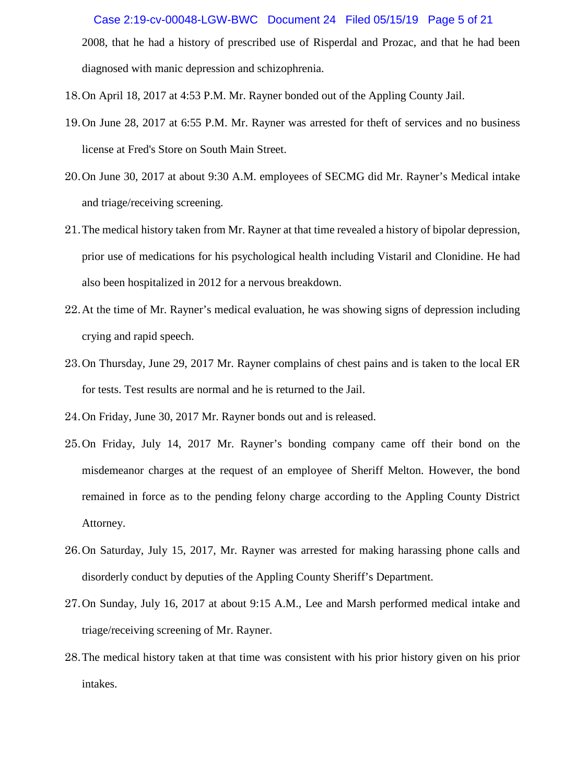2008, that he had a history of prescribed use of Risperdal and Prozac, and that he had been diagnosed with manic depression and schizophrenia. Case 2:19-cv-00048-LGW-BWC Document 24 Filed 05/15/19 Page 5 of 21

- 18.On April 18, 2017 at 4:53 P.M. Mr. Rayner bonded out of the Appling County Jail.
- 19.On June 28, 2017 at 6:55 P.M. Mr. Rayner was arrested for theft of services and no business license at Fred's Store on South Main Street.
- 20.On June 30, 2017 at about 9:30 A.M. employees of SECMG did Mr. Rayner's Medical intake and triage/receiving screening.
- 21.The medical history taken from Mr. Rayner at that time revealed a history of bipolar depression, prior use of medications for his psychological health including Vistaril and Clonidine. He had also been hospitalized in 2012 for a nervous breakdown.
- 22.At the time of Mr. Rayner's medical evaluation, he was showing signs of depression including crying and rapid speech.
- 23.On Thursday, June 29, 2017 Mr. Rayner complains of chest pains and is taken to the local ER for tests. Test results are normal and he is returned to the Jail.
- 24.On Friday, June 30, 2017 Mr. Rayner bonds out and is released.
- 25.On Friday, July 14, 2017 Mr. Rayner's bonding company came off their bond on the misdemeanor charges at the request of an employee of Sheriff Melton. However, the bond remained in force as to the pending felony charge according to the Appling County District Attorney.
- 26.On Saturday, July 15, 2017, Mr. Rayner was arrested for making harassing phone calls and disorderly conduct by deputies of the Appling County Sheriff's Department.
- 27.On Sunday, July 16, 2017 at about 9:15 A.M., Lee and Marsh performed medical intake and triage/receiving screening of Mr. Rayner.
- 28.The medical history taken at that time was consistent with his prior history given on his prior intakes.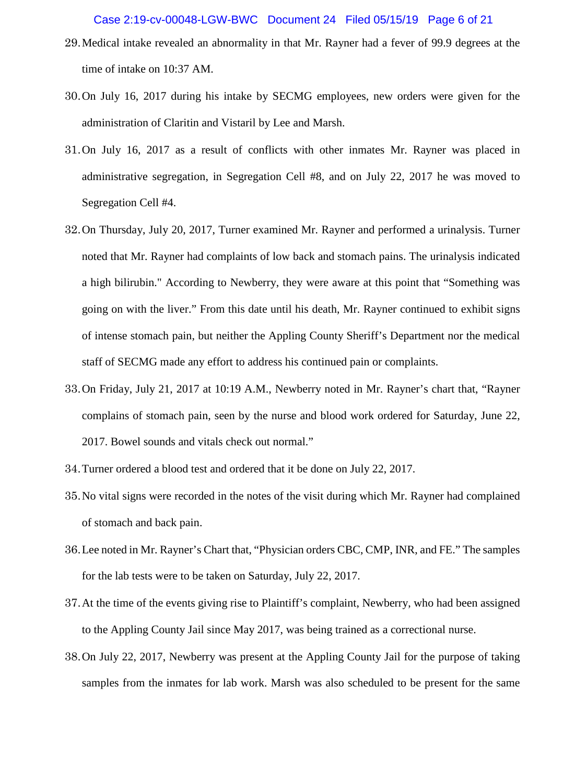- 29.Medical intake revealed an abnormality in that Mr. Rayner had a fever of 99.9 degrees at the time of intake on 10:37 AM.
- 30.On July 16, 2017 during his intake by SECMG employees, new orders were given for the administration of Claritin and Vistaril by Lee and Marsh.
- 31.On July 16, 2017 as a result of conflicts with other inmates Mr. Rayner was placed in administrative segregation, in Segregation Cell #8, and on July 22, 2017 he was moved to Segregation Cell #4.
- 32.On Thursday, July 20, 2017, Turner examined Mr. Rayner and performed a urinalysis. Turner noted that Mr. Rayner had complaints of low back and stomach pains. The urinalysis indicated a high bilirubin." According to Newberry, they were aware at this point that "Something was going on with the liver." From this date until his death, Mr. Rayner continued to exhibit signs of intense stomach pain, but neither the Appling County Sheriff's Department nor the medical staff of SECMG made any effort to address his continued pain or complaints.
- 33.On Friday, July 21, 2017 at 10:19 A.M., Newberry noted in Mr. Rayner's chart that, "Rayner complains of stomach pain, seen by the nurse and blood work ordered for Saturday, June 22, 2017. Bowel sounds and vitals check out normal."
- 34.Turner ordered a blood test and ordered that it be done on July 22, 2017.
- 35.No vital signs were recorded in the notes of the visit during which Mr. Rayner had complained of stomach and back pain.
- 36.Lee noted in Mr. Rayner's Chart that, "Physician orders CBC, CMP, INR, and FE." The samples for the lab tests were to be taken on Saturday, July 22, 2017.
- 37.At the time of the events giving rise to Plaintiff's complaint, Newberry, who had been assigned to the Appling County Jail since May 2017, was being trained as a correctional nurse.
- 38.On July 22, 2017, Newberry was present at the Appling County Jail for the purpose of taking samples from the inmates for lab work. Marsh was also scheduled to be present for the same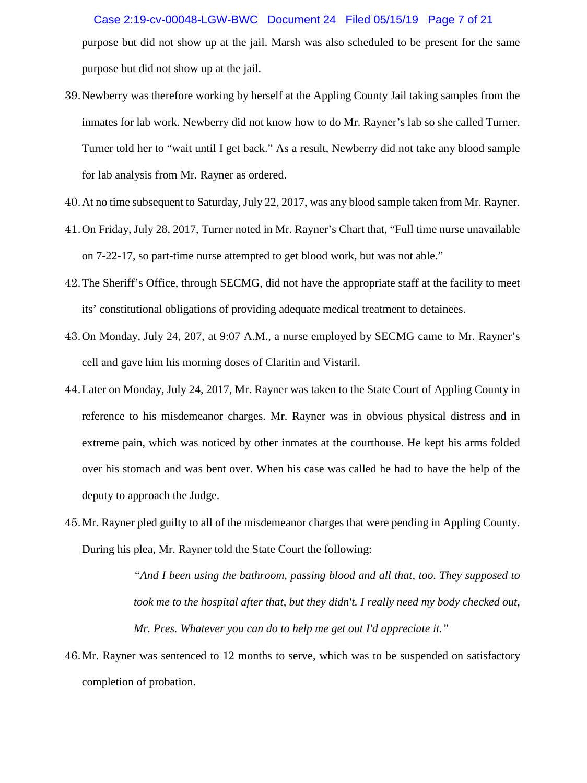purpose but did not show up at the jail. Marsh was also scheduled to be present for the same purpose but did not show up at the jail. Case 2:19-cv-00048-LGW-BWC Document 24 Filed 05/15/19 Page 7 of 21

- 39.Newberry was therefore working by herself at the Appling County Jail taking samples from the inmates for lab work. Newberry did not know how to do Mr. Rayner's lab so she called Turner. Turner told her to "wait until I get back." As a result, Newberry did not take any blood sample for lab analysis from Mr. Rayner as ordered.
- 40.At no time subsequent to Saturday, July 22, 2017, was any blood sample taken from Mr. Rayner.
- 41.On Friday, July 28, 2017, Turner noted in Mr. Rayner's Chart that, "Full time nurse unavailable on 7-22-17, so part-time nurse attempted to get blood work, but was not able."
- 42.The Sheriff's Office, through SECMG, did not have the appropriate staff at the facility to meet its' constitutional obligations of providing adequate medical treatment to detainees.
- 43.On Monday, July 24, 207, at 9:07 A.M., a nurse employed by SECMG came to Mr. Rayner's cell and gave him his morning doses of Claritin and Vistaril.
- 44.Later on Monday, July 24, 2017, Mr. Rayner was taken to the State Court of Appling County in reference to his misdemeanor charges. Mr. Rayner was in obvious physical distress and in extreme pain, which was noticed by other inmates at the courthouse. He kept his arms folded over his stomach and was bent over. When his case was called he had to have the help of the deputy to approach the Judge.
- 45.Mr. Rayner pled guilty to all of the misdemeanor charges that were pending in Appling County. During his plea, Mr. Rayner told the State Court the following:

*"And I been using the bathroom, passing blood and all that, too. They supposed to took me to the hospital after that, but they didn't. I really need my body checked out, Mr. Pres. Whatever you can do to help me get out I'd appreciate it."*

46.Mr. Rayner was sentenced to 12 months to serve, which was to be suspended on satisfactory completion of probation.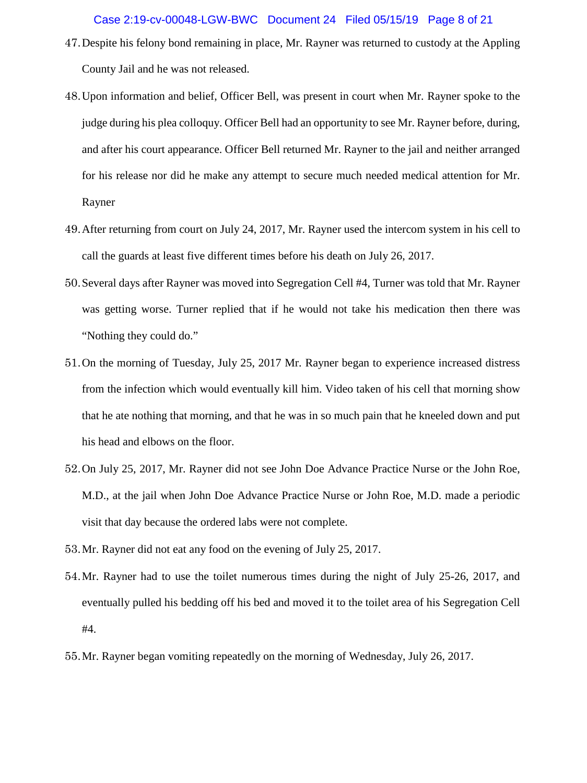- 47.Despite his felony bond remaining in place, Mr. Rayner was returned to custody at the Appling County Jail and he was not released.
- 48.Upon information and belief, Officer Bell, was present in court when Mr. Rayner spoke to the judge during his plea colloquy. Officer Bell had an opportunity to see Mr. Rayner before, during, and after his court appearance. Officer Bell returned Mr. Rayner to the jail and neither arranged for his release nor did he make any attempt to secure much needed medical attention for Mr. Rayner
- 49.After returning from court on July 24, 2017, Mr. Rayner used the intercom system in his cell to call the guards at least five different times before his death on July 26, 2017.
- 50.Several days after Rayner was moved into Segregation Cell #4, Turner was told that Mr. Rayner was getting worse. Turner replied that if he would not take his medication then there was "Nothing they could do."
- 51.On the morning of Tuesday, July 25, 2017 Mr. Rayner began to experience increased distress from the infection which would eventually kill him. Video taken of his cell that morning show that he ate nothing that morning, and that he was in so much pain that he kneeled down and put his head and elbows on the floor.
- 52.On July 25, 2017, Mr. Rayner did not see John Doe Advance Practice Nurse or the John Roe, M.D., at the jail when John Doe Advance Practice Nurse or John Roe, M.D. made a periodic visit that day because the ordered labs were not complete.
- 53.Mr. Rayner did not eat any food on the evening of July 25, 2017.
- 54.Mr. Rayner had to use the toilet numerous times during the night of July 25-26, 2017, and eventually pulled his bedding off his bed and moved it to the toilet area of his Segregation Cell #4.
- 55.Mr. Rayner began vomiting repeatedly on the morning of Wednesday, July 26, 2017.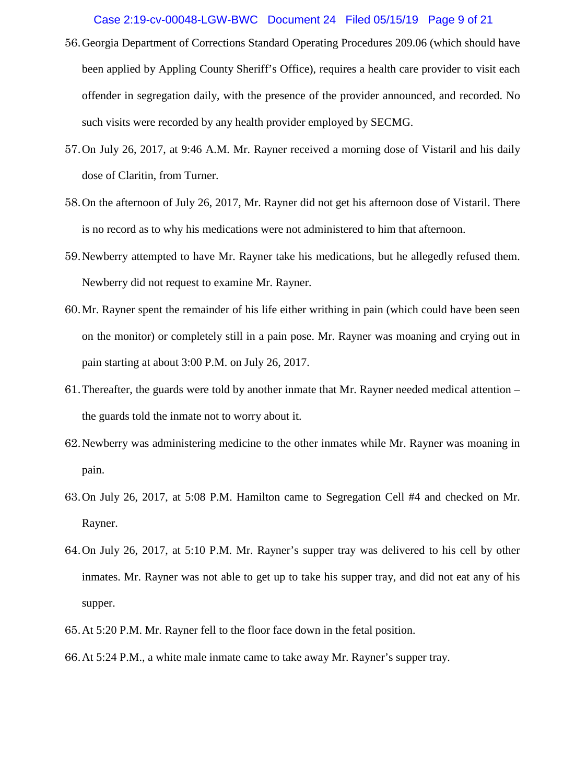#### Case 2:19-cv-00048-LGW-BWC Document 24 Filed 05/15/19 Page 9 of 21

- 56.Georgia Department of Corrections Standard Operating Procedures 209.06 (which should have been applied by Appling County Sheriff's Office), requires a health care provider to visit each offender in segregation daily, with the presence of the provider announced, and recorded. No such visits were recorded by any health provider employed by SECMG.
- 57.On July 26, 2017, at 9:46 A.M. Mr. Rayner received a morning dose of Vistaril and his daily dose of Claritin, from Turner.
- 58.On the afternoon of July 26, 2017, Mr. Rayner did not get his afternoon dose of Vistaril. There is no record as to why his medications were not administered to him that afternoon.
- 59.Newberry attempted to have Mr. Rayner take his medications, but he allegedly refused them. Newberry did not request to examine Mr. Rayner.
- 60.Mr. Rayner spent the remainder of his life either writhing in pain (which could have been seen on the monitor) or completely still in a pain pose. Mr. Rayner was moaning and crying out in pain starting at about 3:00 P.M. on July 26, 2017.
- 61.Thereafter, the guards were told by another inmate that Mr. Rayner needed medical attention the guards told the inmate not to worry about it.
- 62.Newberry was administering medicine to the other inmates while Mr. Rayner was moaning in pain.
- 63.On July 26, 2017, at 5:08 P.M. Hamilton came to Segregation Cell #4 and checked on Mr. Rayner.
- 64.On July 26, 2017, at 5:10 P.M. Mr. Rayner's supper tray was delivered to his cell by other inmates. Mr. Rayner was not able to get up to take his supper tray, and did not eat any of his supper.
- 65.At 5:20 P.M. Mr. Rayner fell to the floor face down in the fetal position.
- 66.At 5:24 P.M., a white male inmate came to take away Mr. Rayner's supper tray.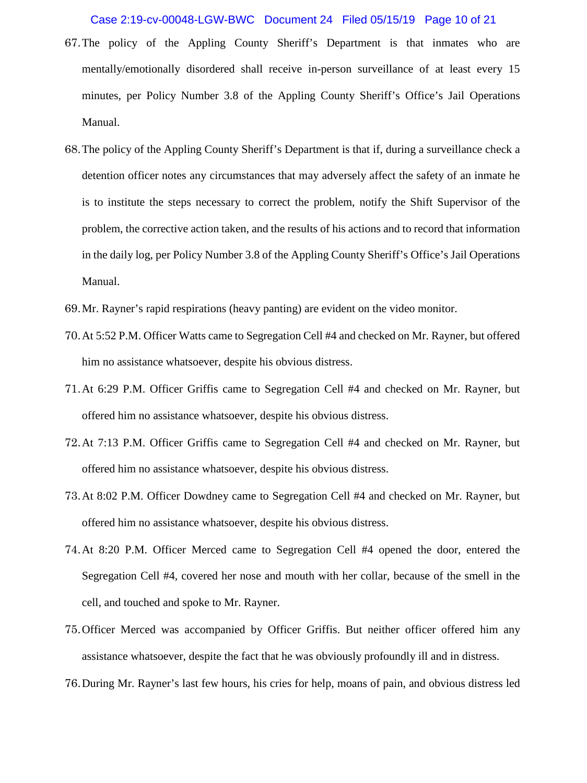### Case 2:19-cv-00048-LGW-BWC Document 24 Filed 05/15/19 Page 10 of 21

- 67.The policy of the Appling County Sheriff's Department is that inmates who are mentally/emotionally disordered shall receive in-person surveillance of at least every 15 minutes, per Policy Number 3.8 of the Appling County Sheriff's Office's Jail Operations Manual.
- 68.The policy of the Appling County Sheriff's Department is that if, during a surveillance check a detention officer notes any circumstances that may adversely affect the safety of an inmate he is to institute the steps necessary to correct the problem, notify the Shift Supervisor of the problem, the corrective action taken, and the results of his actions and to record that information in the daily log, per Policy Number 3.8 of the Appling County Sheriff's Office's Jail Operations Manual.
- 69.Mr. Rayner's rapid respirations (heavy panting) are evident on the video monitor.
- 70.At 5:52 P.M. Officer Watts came to Segregation Cell #4 and checked on Mr. Rayner, but offered him no assistance whatsoever, despite his obvious distress.
- 71.At 6:29 P.M. Officer Griffis came to Segregation Cell #4 and checked on Mr. Rayner, but offered him no assistance whatsoever, despite his obvious distress.
- 72.At 7:13 P.M. Officer Griffis came to Segregation Cell #4 and checked on Mr. Rayner, but offered him no assistance whatsoever, despite his obvious distress.
- 73.At 8:02 P.M. Officer Dowdney came to Segregation Cell #4 and checked on Mr. Rayner, but offered him no assistance whatsoever, despite his obvious distress.
- 74.At 8:20 P.M. Officer Merced came to Segregation Cell #4 opened the door, entered the Segregation Cell #4, covered her nose and mouth with her collar, because of the smell in the cell, and touched and spoke to Mr. Rayner.
- 75.Officer Merced was accompanied by Officer Griffis. But neither officer offered him any assistance whatsoever, despite the fact that he was obviously profoundly ill and in distress.
- 76.During Mr. Rayner's last few hours, his cries for help, moans of pain, and obvious distress led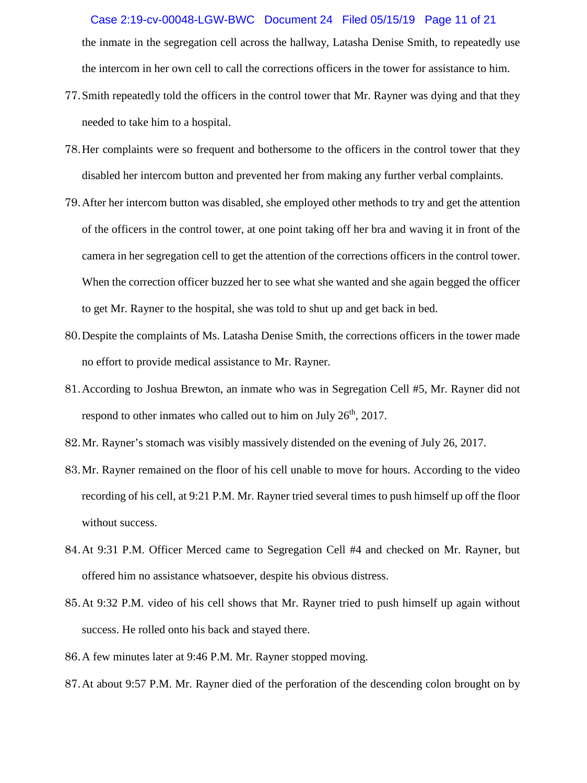## Case 2:19-cv-00048-LGW-BWC Document 24 Filed 05/15/19 Page 11 of 21

the inmate in the segregation cell across the hallway, Latasha Denise Smith, to repeatedly use the intercom in her own cell to call the corrections officers in the tower for assistance to him.

- 77.Smith repeatedly told the officers in the control tower that Mr. Rayner was dying and that they needed to take him to a hospital.
- 78.Her complaints were so frequent and bothersome to the officers in the control tower that they disabled her intercom button and prevented her from making any further verbal complaints.
- 79.After her intercom button was disabled, she employed other methods to try and get the attention of the officers in the control tower, at one point taking off her bra and waving it in front of the camera in her segregation cell to get the attention of the corrections officers in the control tower. When the correction officer buzzed her to see what she wanted and she again begged the officer to get Mr. Rayner to the hospital, she was told to shut up and get back in bed.
- 80.Despite the complaints of Ms. Latasha Denise Smith, the corrections officers in the tower made no effort to provide medical assistance to Mr. Rayner.
- 81.According to Joshua Brewton, an inmate who was in Segregation Cell #5, Mr. Rayner did not respond to other inmates who called out to him on July  $26<sup>th</sup>$ , 2017.
- 82.Mr. Rayner's stomach was visibly massively distended on the evening of July 26, 2017.
- 83.Mr. Rayner remained on the floor of his cell unable to move for hours. According to the video recording of his cell, at 9:21 P.M. Mr. Rayner tried several times to push himself up off the floor without success.
- 84.At 9:31 P.M. Officer Merced came to Segregation Cell #4 and checked on Mr. Rayner, but offered him no assistance whatsoever, despite his obvious distress.
- 85.At 9:32 P.M. video of his cell shows that Mr. Rayner tried to push himself up again without success. He rolled onto his back and stayed there.
- 86.A few minutes later at 9:46 P.M. Mr. Rayner stopped moving.
- 87.At about 9:57 P.M. Mr. Rayner died of the perforation of the descending colon brought on by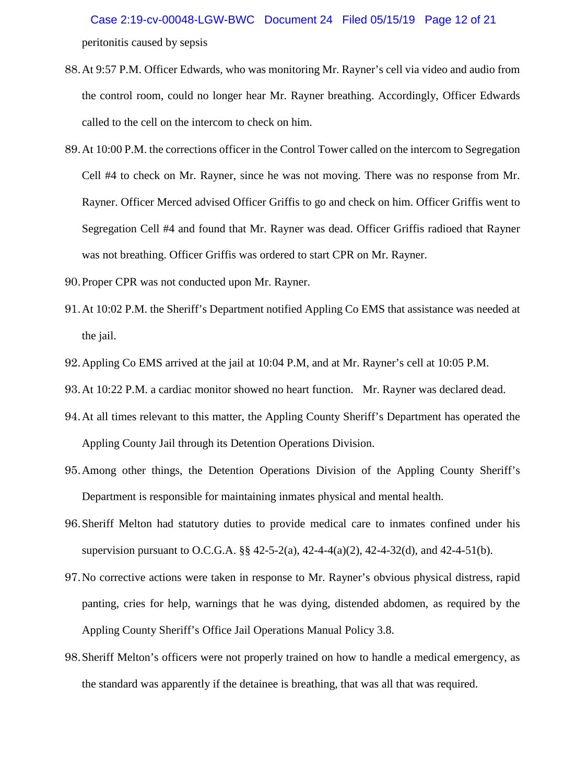peritonitis caused by sepsis Case 2:19-cv-00048-LGW-BWC Document 24 Filed 05/15/19 Page 12 of 21

- 88.At 9:57 P.M. Officer Edwards, who was monitoring Mr. Rayner's cell via video and audio from the control room, could no longer hear Mr. Rayner breathing. Accordingly, Officer Edwards called to the cell on the intercom to check on him.
- 89.At 10:00 P.M. the corrections officer in the Control Tower called on the intercom to Segregation Cell #4 to check on Mr. Rayner, since he was not moving. There was no response from Mr. Rayner. Officer Merced advised Officer Griffis to go and check on him. Officer Griffis went to Segregation Cell #4 and found that Mr. Rayner was dead. Officer Griffis radioed that Rayner was not breathing. Officer Griffis was ordered to start CPR on Mr. Rayner.
- 90.Proper CPR was not conducted upon Mr. Rayner.
- 91.At 10:02 P.M. the Sheriff's Department notified Appling Co EMS that assistance was needed at the jail.
- 92.Appling Co EMS arrived at the jail at 10:04 P.M, and at Mr. Rayner's cell at 10:05 P.M.
- 93.At 10:22 P.M. a cardiac monitor showed no heart function. Mr. Rayner was declared dead.
- 94.At all times relevant to this matter, the Appling County Sheriff's Department has operated the Appling County Jail through its Detention Operations Division.
- 95.Among other things, the Detention Operations Division of the Appling County Sheriff's Department is responsible for maintaining inmates physical and mental health.
- 96.Sheriff Melton had statutory duties to provide medical care to inmates confined under his supervision pursuant to O.C.G.A. §§ 42-5-2(a), 42-4-4(a)(2), 42-4-32(d), and 42-4-51(b).
- 97.No corrective actions were taken in response to Mr. Rayner's obvious physical distress, rapid panting, cries for help, warnings that he was dying, distended abdomen, as required by the Appling County Sheriff's Office Jail Operations Manual Policy 3.8.
- 98.Sheriff Melton's officers were not properly trained on how to handle a medical emergency, as the standard was apparently if the detainee is breathing, that was all that was required.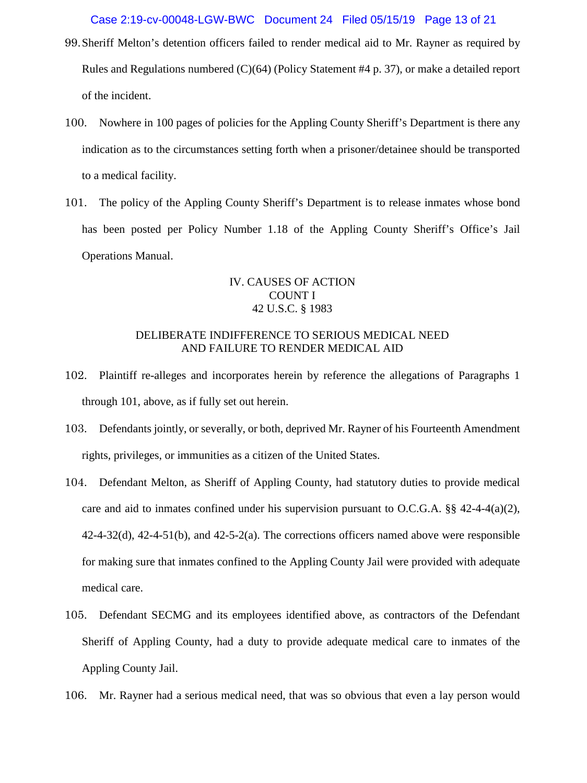Case 2:19-cv-00048-LGW-BWC Document 24 Filed 05/15/19 Page 13 of 21

- 99.Sheriff Melton's detention officers failed to render medical aid to Mr. Rayner as required by Rules and Regulations numbered (C)(64) (Policy Statement #4 p. 37), or make a detailed report of the incident.
- 100. Nowhere in 100 pages of policies for the Appling County Sheriff's Department is there any indication as to the circumstances setting forth when a prisoner/detainee should be transported to a medical facility.
- 101. The policy of the Appling County Sheriff's Department is to release inmates whose bond has been posted per Policy Number 1.18 of the Appling County Sheriff's Office's Jail Operations Manual.

# IV. CAUSES OF ACTION COUNT I 42 U.S.C. § 1983

## DELIBERATE INDIFFERENCE TO SERIOUS MEDICAL NEED AND FAILURE TO RENDER MEDICAL AID

- 102. Plaintiff re-alleges and incorporates herein by reference the allegations of Paragraphs 1 through 101, above, as if fully set out herein.
- 103. Defendants jointly, or severally, or both, deprived Mr. Rayner of his Fourteenth Amendment rights, privileges, or immunities as a citizen of the United States.
- 104. Defendant Melton, as Sheriff of Appling County, had statutory duties to provide medical care and aid to inmates confined under his supervision pursuant to O.C.G.A.  $\S$  42-4-4(a)(2), 42-4-32(d), 42-4-51(b), and 42-5-2(a). The corrections officers named above were responsible for making sure that inmates confined to the Appling County Jail were provided with adequate medical care.
- 105. Defendant SECMG and its employees identified above, as contractors of the Defendant Sheriff of Appling County, had a duty to provide adequate medical care to inmates of the Appling County Jail.
- 106. Mr. Rayner had a serious medical need, that was so obvious that even a lay person would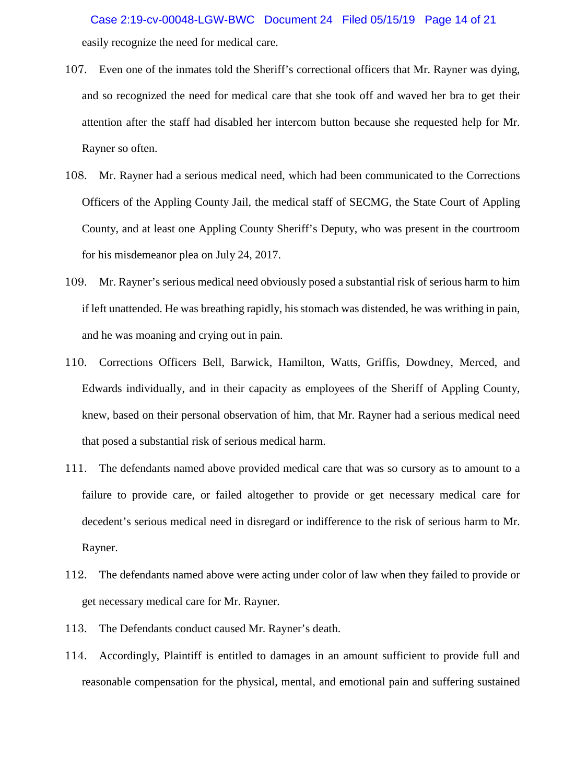easily recognize the need for medical care. Case 2:19-cv-00048-LGW-BWC Document 24 Filed 05/15/19 Page 14 of 21

- 107. Even one of the inmates told the Sheriff's correctional officers that Mr. Rayner was dying, and so recognized the need for medical care that she took off and waved her bra to get their attention after the staff had disabled her intercom button because she requested help for Mr. Rayner so often.
- 108. Mr. Rayner had a serious medical need, which had been communicated to the Corrections Officers of the Appling County Jail, the medical staff of SECMG, the State Court of Appling County, and at least one Appling County Sheriff's Deputy, who was present in the courtroom for his misdemeanor plea on July 24, 2017.
- 109. Mr. Rayner's serious medical need obviously posed a substantial risk of serious harm to him if left unattended. He was breathing rapidly, his stomach was distended, he was writhing in pain, and he was moaning and crying out in pain.
- 110. Corrections Officers Bell, Barwick, Hamilton, Watts, Griffis, Dowdney, Merced, and Edwards individually, and in their capacity as employees of the Sheriff of Appling County, knew, based on their personal observation of him, that Mr. Rayner had a serious medical need that posed a substantial risk of serious medical harm.
- 111. The defendants named above provided medical care that was so cursory as to amount to a failure to provide care, or failed altogether to provide or get necessary medical care for decedent's serious medical need in disregard or indifference to the risk of serious harm to Mr. Rayner.
- 112. The defendants named above were acting under color of law when they failed to provide or get necessary medical care for Mr. Rayner.
- 113. The Defendants conduct caused Mr. Rayner's death.
- 114. Accordingly, Plaintiff is entitled to damages in an amount sufficient to provide full and reasonable compensation for the physical, mental, and emotional pain and suffering sustained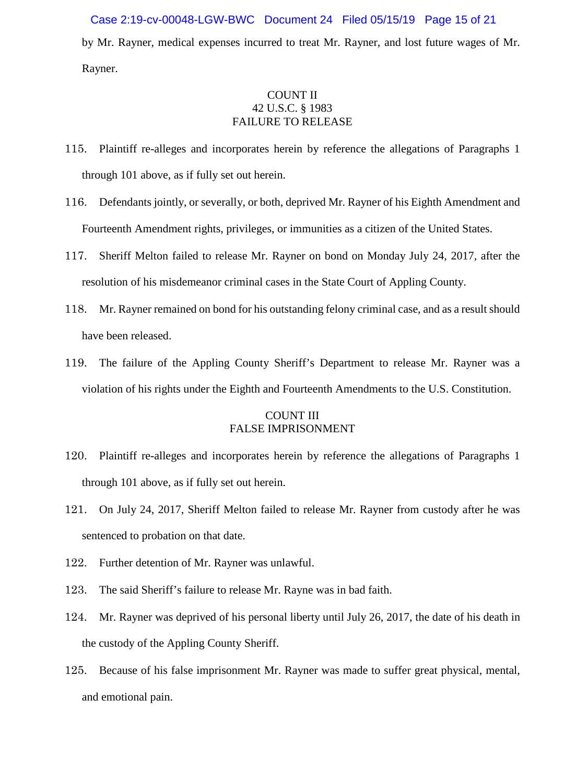## Case 2:19-cv-00048-LGW-BWC Document 24 Filed 05/15/19 Page 15 of 21

by Mr. Rayner, medical expenses incurred to treat Mr. Rayner, and lost future wages of Mr. Rayner.

# COUNT II 42 U.S.C. § 1983 FAILURE TO RELEASE

- 115. Plaintiff re-alleges and incorporates herein by reference the allegations of Paragraphs 1 through 101 above, as if fully set out herein.
- 116. Defendants jointly, or severally, or both, deprived Mr. Rayner of his Eighth Amendment and Fourteenth Amendment rights, privileges, or immunities as a citizen of the United States.
- 117. Sheriff Melton failed to release Mr. Rayner on bond on Monday July 24, 2017, after the resolution of his misdemeanor criminal cases in the State Court of Appling County.
- 118. Mr. Rayner remained on bond for his outstanding felony criminal case, and as a result should have been released.
- 119. The failure of the Appling County Sheriff's Department to release Mr. Rayner was a violation of his rights under the Eighth and Fourteenth Amendments to the U.S. Constitution.

## COUNT III FALSE IMPRISONMENT

- 120. Plaintiff re-alleges and incorporates herein by reference the allegations of Paragraphs 1 through 101 above, as if fully set out herein.
- 121. On July 24, 2017, Sheriff Melton failed to release Mr. Rayner from custody after he was sentenced to probation on that date.
- 122. Further detention of Mr. Rayner was unlawful.
- 123. The said Sheriff's failure to release Mr. Rayne was in bad faith.
- 124. Mr. Rayner was deprived of his personal liberty until July 26, 2017, the date of his death in the custody of the Appling County Sheriff.
- 125. Because of his false imprisonment Mr. Rayner was made to suffer great physical, mental, and emotional pain.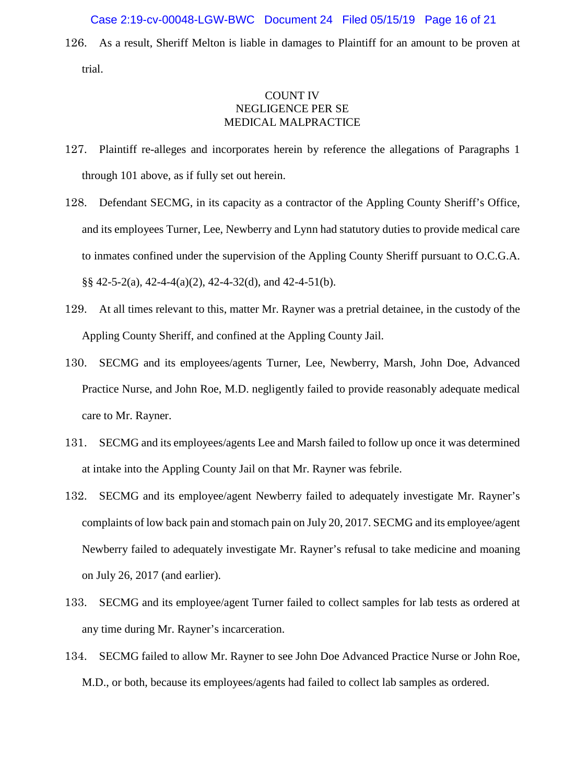#### Case 2:19-cv-00048-LGW-BWC Document 24 Filed 05/15/19 Page 16 of 21

126. As a result, Sheriff Melton is liable in damages to Plaintiff for an amount to be proven at trial.

# COUNT IV NEGLIGENCE PER SE MEDICAL MALPRACTICE

- 127. Plaintiff re-alleges and incorporates herein by reference the allegations of Paragraphs 1 through 101 above, as if fully set out herein.
- 128. Defendant SECMG, in its capacity as a contractor of the Appling County Sheriff's Office, and its employees Turner, Lee, Newberry and Lynn had statutory duties to provide medical care to inmates confined under the supervision of the Appling County Sheriff pursuant to O.C.G.A. §§ 42-5-2(a), 42-4-4(a)(2), 42-4-32(d), and 42-4-51(b).
- 129. At all times relevant to this, matter Mr. Rayner was a pretrial detainee, in the custody of the Appling County Sheriff, and confined at the Appling County Jail.
- 130. SECMG and its employees/agents Turner, Lee, Newberry, Marsh, John Doe, Advanced Practice Nurse, and John Roe, M.D. negligently failed to provide reasonably adequate medical care to Mr. Rayner.
- 131. SECMG and its employees/agents Lee and Marsh failed to follow up once it was determined at intake into the Appling County Jail on that Mr. Rayner was febrile.
- 132. SECMG and its employee/agent Newberry failed to adequately investigate Mr. Rayner's complaints of low back pain and stomach pain on July 20, 2017. SECMG and its employee/agent Newberry failed to adequately investigate Mr. Rayner's refusal to take medicine and moaning on July 26, 2017 (and earlier).
- 133. SECMG and its employee/agent Turner failed to collect samples for lab tests as ordered at any time during Mr. Rayner's incarceration.
- 134. SECMG failed to allow Mr. Rayner to see John Doe Advanced Practice Nurse or John Roe, M.D., or both, because its employees/agents had failed to collect lab samples as ordered.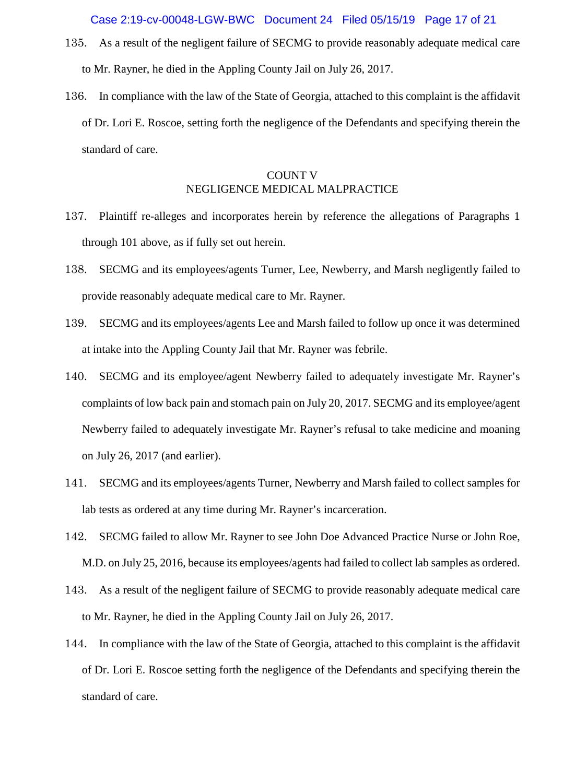- 135. As a result of the negligent failure of SECMG to provide reasonably adequate medical care to Mr. Rayner, he died in the Appling County Jail on July 26, 2017.
- 136. In compliance with the law of the State of Georgia, attached to this complaint is the affidavit of Dr. Lori E. Roscoe, setting forth the negligence of the Defendants and specifying therein the standard of care.

# COUNT V NEGLIGENCE MEDICAL MALPRACTICE

- 137. Plaintiff re-alleges and incorporates herein by reference the allegations of Paragraphs 1 through 101 above, as if fully set out herein.
- 138. SECMG and its employees/agents Turner, Lee, Newberry, and Marsh negligently failed to provide reasonably adequate medical care to Mr. Rayner.
- 139. SECMG and its employees/agents Lee and Marsh failed to follow up once it was determined at intake into the Appling County Jail that Mr. Rayner was febrile.
- 140. SECMG and its employee/agent Newberry failed to adequately investigate Mr. Rayner's complaints of low back pain and stomach pain on July 20, 2017. SECMG and its employee/agent Newberry failed to adequately investigate Mr. Rayner's refusal to take medicine and moaning on July 26, 2017 (and earlier).
- 141. SECMG and its employees/agents Turner, Newberry and Marsh failed to collect samples for lab tests as ordered at any time during Mr. Rayner's incarceration.
- 142. SECMG failed to allow Mr. Rayner to see John Doe Advanced Practice Nurse or John Roe, M.D. on July 25, 2016, because its employees/agents had failed to collect lab samples as ordered.
- 143. As a result of the negligent failure of SECMG to provide reasonably adequate medical care to Mr. Rayner, he died in the Appling County Jail on July 26, 2017.
- 144. In compliance with the law of the State of Georgia, attached to this complaint is the affidavit of Dr. Lori E. Roscoe setting forth the negligence of the Defendants and specifying therein the standard of care.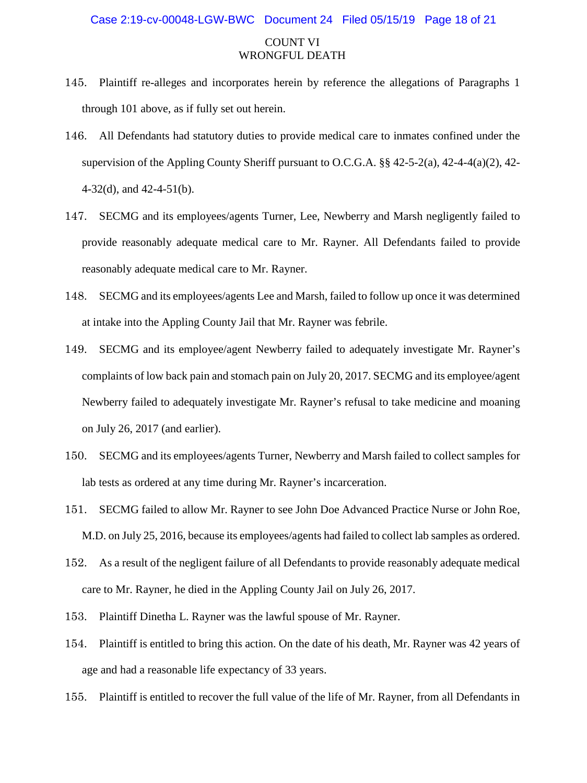#### Case 2:19-cv-00048-LGW-BWC Document 24 Filed 05/15/19 Page 18 of 21

## COUNT VI WRONGFUL DEATH

- 145. Plaintiff re-alleges and incorporates herein by reference the allegations of Paragraphs 1 through 101 above, as if fully set out herein.
- 146. All Defendants had statutory duties to provide medical care to inmates confined under the supervision of the Appling County Sheriff pursuant to O.C.G.A. §§ 42-5-2(a), 42-4-4(a)(2), 42- 4-32(d), and 42-4-51(b).
- 147. SECMG and its employees/agents Turner, Lee, Newberry and Marsh negligently failed to provide reasonably adequate medical care to Mr. Rayner. All Defendants failed to provide reasonably adequate medical care to Mr. Rayner.
- 148. SECMG and its employees/agents Lee and Marsh, failed to follow up once it was determined at intake into the Appling County Jail that Mr. Rayner was febrile.
- 149. SECMG and its employee/agent Newberry failed to adequately investigate Mr. Rayner's complaints of low back pain and stomach pain on July 20, 2017. SECMG and its employee/agent Newberry failed to adequately investigate Mr. Rayner's refusal to take medicine and moaning on July 26, 2017 (and earlier).
- 150. SECMG and its employees/agents Turner, Newberry and Marsh failed to collect samples for lab tests as ordered at any time during Mr. Rayner's incarceration.
- 151. SECMG failed to allow Mr. Rayner to see John Doe Advanced Practice Nurse or John Roe, M.D. on July 25, 2016, because its employees/agents had failed to collect lab samples as ordered.
- 152. As a result of the negligent failure of all Defendants to provide reasonably adequate medical care to Mr. Rayner, he died in the Appling County Jail on July 26, 2017.
- 153. Plaintiff Dinetha L. Rayner was the lawful spouse of Mr. Rayner.
- 154. Plaintiff is entitled to bring this action. On the date of his death, Mr. Rayner was 42 years of age and had a reasonable life expectancy of 33 years.
- 155. Plaintiff is entitled to recover the full value of the life of Mr. Rayner, from all Defendants in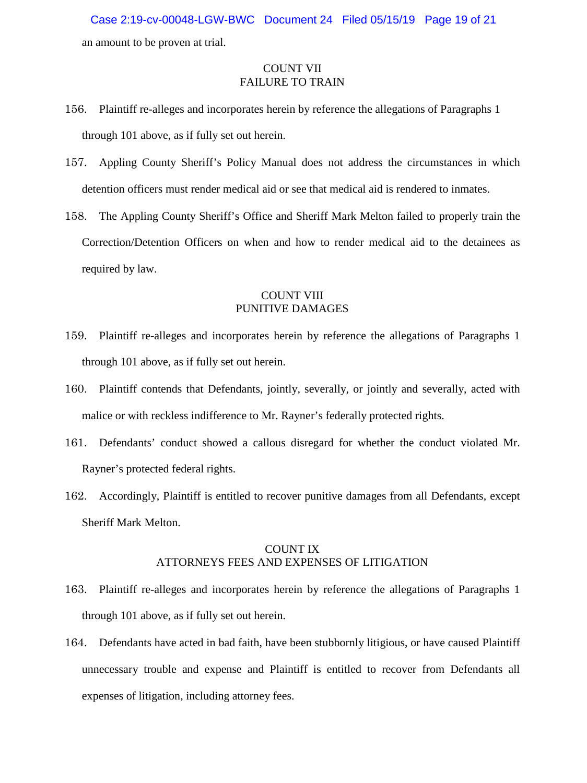an amount to be proven at trial. Case 2:19-cv-00048-LGW-BWC Document 24 Filed 05/15/19 Page 19 of 21

# COUNT VII FAILURE TO TRAIN

- 156. Plaintiff re-alleges and incorporates herein by reference the allegations of Paragraphs 1 through 101 above, as if fully set out herein.
- 157. Appling County Sheriff's Policy Manual does not address the circumstances in which detention officers must render medical aid or see that medical aid is rendered to inmates.
- 158. The Appling County Sheriff's Office and Sheriff Mark Melton failed to properly train the Correction/Detention Officers on when and how to render medical aid to the detainees as required by law.

# COUNT VIII PUNITIVE DAMAGES

- 159. Plaintiff re-alleges and incorporates herein by reference the allegations of Paragraphs 1 through 101 above, as if fully set out herein.
- 160. Plaintiff contends that Defendants, jointly, severally, or jointly and severally, acted with malice or with reckless indifference to Mr. Rayner's federally protected rights.
- 161. Defendants' conduct showed a callous disregard for whether the conduct violated Mr. Rayner's protected federal rights.
- 162. Accordingly, Plaintiff is entitled to recover punitive damages from all Defendants, except Sheriff Mark Melton.

# COUNT IX ATTORNEYS FEES AND EXPENSES OF LITIGATION

- 163. Plaintiff re-alleges and incorporates herein by reference the allegations of Paragraphs 1 through 101 above, as if fully set out herein.
- 164. Defendants have acted in bad faith, have been stubbornly litigious, or have caused Plaintiff unnecessary trouble and expense and Plaintiff is entitled to recover from Defendants all expenses of litigation, including attorney fees.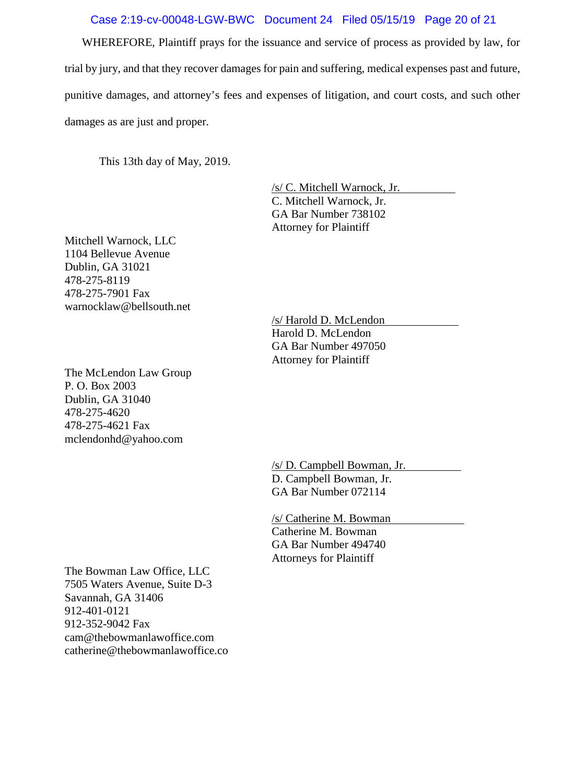# Case 2:19-cv-00048-LGW-BWC Document 24 Filed 05/15/19 Page 20 of 21

WHEREFORE, Plaintiff prays for the issuance and service of process as provided by law, for trial by jury, and that they recover damages for pain and suffering, medical expenses past and future, punitive damages, and attorney's fees and expenses of litigation, and court costs, and such other damages as are just and proper.

This 13th day of May, 2019.

/s/ C. Mitchell Warnock, Jr. C. Mitchell Warnock, Jr. GA Bar Number 738102 Attorney for Plaintiff

Mitchell Warnock, LLC 1104 Bellevue Avenue Dublin, GA 31021 478-275-8119 478-275-7901 Fax warnocklaw@bellsouth.net

The McLendon Law Group P. O. Box 2003 Dublin, GA 31040 478-275-4620 478-275-4621 Fax [mclendonhd@yahoo.com](mailto:mclendonhd@yahoo.com)

/s/ Harold D. McLendon Harold D. McLendon GA Bar Number 497050 Attorney for Plaintiff

/s/ D. Campbell Bowman, Jr. D. Campbell Bowman, Jr. GA Bar Number 072114

/s/ Catherine M. Bowman Catherine M. Bowman GA Bar Number 494740 Attorneys for Plaintiff

The Bowman Law Office, LLC 7505 Waters Avenue, Suite D-3 Savannah, GA 31406 912-401-0121 912-352-9042 Fax [cam@thebowmanlawoffice.com](mailto:cam@thebowmanlawoffice.com) catherine@thebowmanlawoffice.co